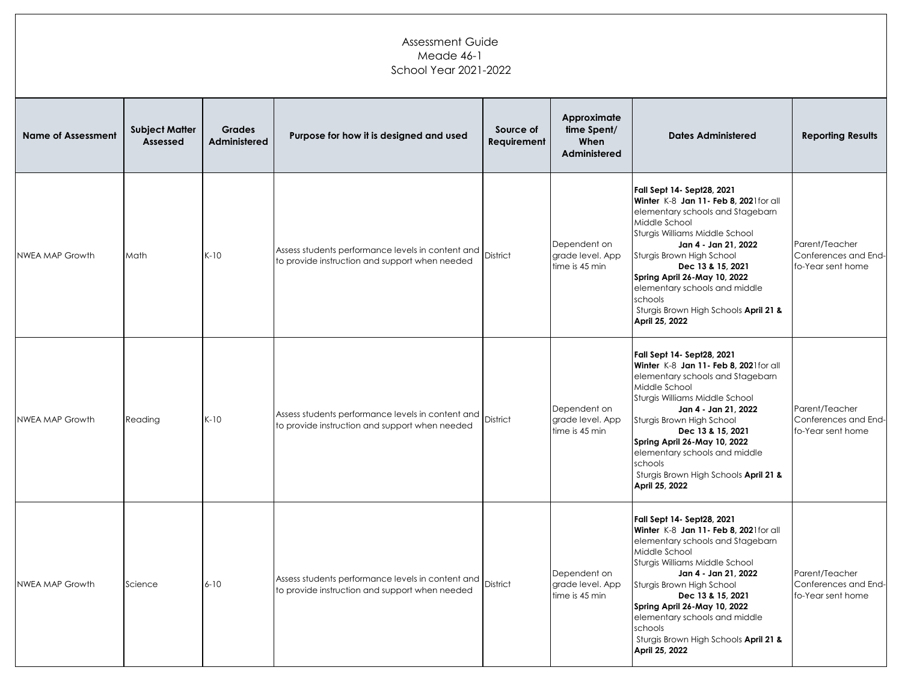## Assessment Guide Meade 46-1 School Year 2021-2022

| <b>Name of Assessment</b> | <b>Subject Matter</b><br>Assessed | <b>Grades</b><br>Administered | Purpose for how it is designed and used                                                             | Source of<br>Requirement | Approximate<br>time Spent/<br>When<br>Administered | <b>Dates Administered</b>                                                                                                                                                                                                                                                                                                                                                    | <b>Reporting Results</b>                                    |
|---------------------------|-----------------------------------|-------------------------------|-----------------------------------------------------------------------------------------------------|--------------------------|----------------------------------------------------|------------------------------------------------------------------------------------------------------------------------------------------------------------------------------------------------------------------------------------------------------------------------------------------------------------------------------------------------------------------------------|-------------------------------------------------------------|
| NWEA MAP Growth           | Math                              | $K-10$                        | Assess students performance levels in content and<br>to provide instruction and support when needed | District                 | Dependent on<br>grade level. App<br>time is 45 min | Fall Sept 14- Sept28, 2021<br>Winter K-8 Jan 11- Feb 8, 2021for all<br>elementary schools and Stagebarn<br>Middle School<br>Sturgis Williams Middle School<br>Jan 4 - Jan 21, 2022<br>Sturgis Brown High School<br>Dec 13 & 15, 2021<br>Spring April 26-May 10, 2022<br>elementary schools and middle<br>schools<br>Sturgis Brown High Schools April 21 &<br>April 25, 2022  | Parent/Teacher<br>Conferences and End-<br>fo-Year sent home |
| NWEA MAP Growth           | Reading                           | $K-10$                        | Assess students performance levels in content and<br>to provide instruction and support when needed | District                 | Dependent on<br>grade level. App<br>time is 45 min | Fall Sept 14- Sept28, 2021<br>Winter K-8 Jan 11- Feb 8, 2021 for all<br>elementary schools and Stagebarn<br>Middle School<br>Sturgis Williams Middle School<br>Jan 4 - Jan 21, 2022<br>Sturgis Brown High School<br>Dec 13 & 15, 2021<br>Spring April 26-May 10, 2022<br>elementary schools and middle<br>schools<br>Sturgis Brown High Schools April 21 &<br>April 25, 2022 | Parent/Teacher<br>Conferences and End-<br>fo-Year sent home |
| <b>NWEA MAP Growth</b>    | Science                           | $6 - 10$                      | Assess students performance levels in content and<br>to provide instruction and support when needed | District                 | Dependent on<br>grade level. App<br>time is 45 min | Fall Sept 14- Sept28, 2021<br>Winter K-8 Jan 11- Feb 8, 2021for all<br>elementary schools and Stagebarn<br>Middle School<br>Sturgis Williams Middle School<br>Jan 4 - Jan 21, 2022<br>Sturgis Brown High School<br>Dec 13 & 15, 2021<br>Spring April 26-May 10, 2022<br>elementary schools and middle<br>schools<br>Sturgis Brown High Schools April 21 &<br>April 25, 2022  | Parent/Teacher<br>Conferences and End-<br>fo-Year sent home |